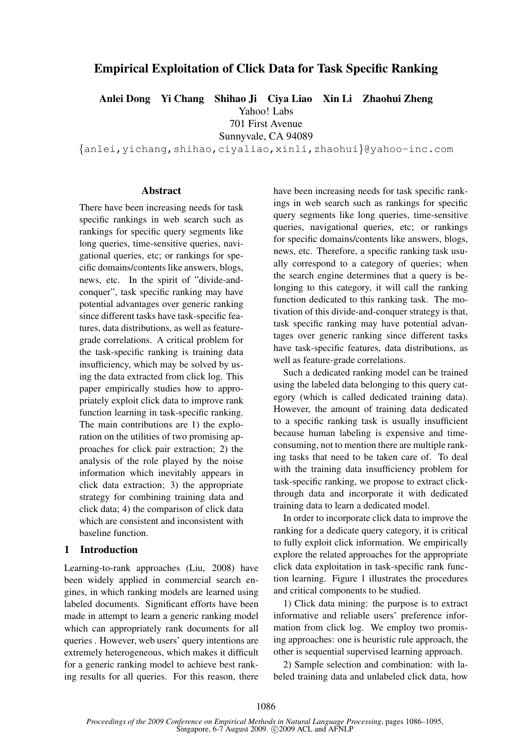# Empirical Exploitation of Click Data for Task Specific Ranking

Anlei Dong Yi Chang Shihao Ji Ciya Liao Xin Li Zhaohui Zheng

Yahoo! Labs

701 First Avenue

Sunnyvale, CA 94089

{anlei,yichang,shihao,ciyaliao,xinli,zhaohui}@yahoo-inc.com

## Abstract

There have been increasing needs for task specific rankings in web search such as rankings for specific query segments like long queries, time-sensitive queries, navigational queries, etc; or rankings for specific domains/contents like answers, blogs, news, etc. In the spirit of "divide-andconquer", task specific ranking may have potential advantages over generic ranking since different tasks have task-specific features, data distributions, as well as featuregrade correlations. A critical problem for the task-specific ranking is training data insufficiency, which may be solved by using the data extracted from click log. This paper empirically studies how to appropriately exploit click data to improve rank function learning in task-specific ranking. The main contributions are 1) the exploration on the utilities of two promising approaches for click pair extraction; 2) the analysis of the role played by the noise information which inevitably appears in click data extraction; 3) the appropriate strategy for combining training data and click data; 4) the comparison of click data which are consistent and inconsistent with baseline function.

## 1 Introduction

Learning-to-rank approaches (Liu, 2008) have been widely applied in commercial search engines, in which ranking models are learned using labeled documents. Significant efforts have been made in attempt to learn a generic ranking model which can appropriately rank documents for all queries . However, web users' query intentions are extremely heterogeneous, which makes it difficult for a generic ranking model to achieve best ranking results for all queries. For this reason, there have been increasing needs for task specific rankings in web search such as rankings for specific query segments like long queries, time-sensitive queries, navigational queries, etc; or rankings for specific domains/contents like answers, blogs, news, etc. Therefore, a specific ranking task usually correspond to a category of queries; when the search engine determines that a query is belonging to this category, it will call the ranking function dedicated to this ranking task. The motivation of this divide-and-conquer strategy is that, task specific ranking may have potential advantages over generic ranking since different tasks have task-specific features, data distributions, as well as feature-grade correlations.

Such a dedicated ranking model can be trained using the labeled data belonging to this query category (which is called dedicated training data). However, the amount of training data dedicated to a specific ranking task is usually insufficient because human labeling is expensive and timeconsuming, not to mention there are multiple ranking tasks that need to be taken care of. To deal with the training data insufficiency problem for task-specific ranking, we propose to extract clickthrough data and incorporate it with dedicated training data to learn a dedicated model.

In order to incorporate click data to improve the ranking for a dedicate query category, it is critical to fully exploit click information. We empirically explore the related approaches for the appropriate click data exploitation in task-specific rank function learning. Figure 1 illustrates the procedures and critical components to be studied.

1) Click data mining: the purpose is to extract informative and reliable users' preference information from click log. We employ two promising approaches: one is heuristic rule approach, the other is sequential supervised learning approach.

2) Sample selection and combination: with labeled training data and unlabeled click data, how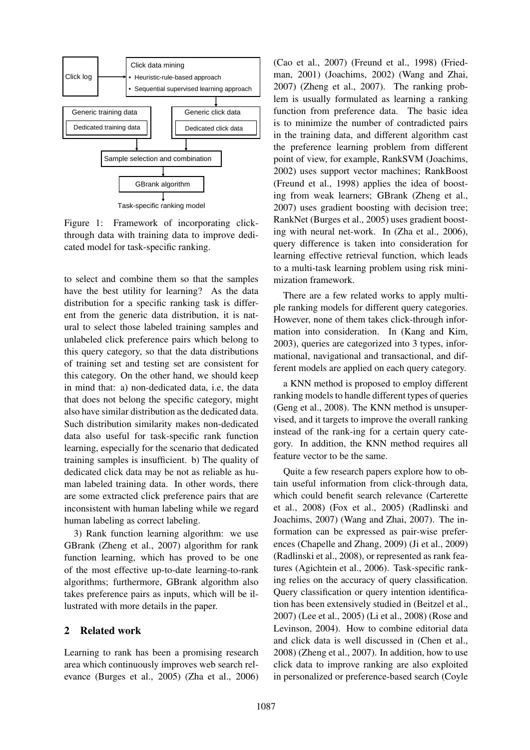

Task-specific ranking model

Figure 1: Framework of incorporating clickthrough data with training data to improve dedicated model for task-specific ranking.

to select and combine them so that the samples have the best utility for learning? As the data distribution for a specific ranking task is different from the generic data distribution, it is natural to select those labeled training samples and unlabeled click preference pairs which belong to this query category, so that the data distributions of training set and testing set are consistent for this category. On the other hand, we should keep in mind that: a) non-dedicated data, i.e, the data that does not belong the specific category, might also have similar distribution as the dedicated data. Such distribution similarity makes non-dedicated data also useful for task-specific rank function learning, especially for the scenario that dedicated training samples is insufficient. b) The quality of dedicated click data may be not as reliable as human labeled training data. In other words, there are some extracted click preference pairs that are inconsistent with human labeling while we regard human labeling as correct labeling.

3) Rank function learning algorithm: we use GBrank (Zheng et al., 2007) algorithm for rank function learning, which has proved to be one of the most effective up-to-date learning-to-rank algorithms; furthermore, GBrank algorithm also takes preference pairs as inputs, which will be illustrated with more details in the paper.

## 2 Related work

Learning to rank has been a promising research area which continuously improves web search relevance (Burges et al., 2005) (Zha et al., 2006) (Cao et al., 2007) (Freund et al., 1998) (Friedman, 2001) (Joachims, 2002) (Wang and Zhai, 2007) (Zheng et al., 2007). The ranking problem is usually formulated as learning a ranking function from preference data. The basic idea is to minimize the number of contradicted pairs in the training data, and different algorithm cast the preference learning problem from different point of view, for example, RankSVM (Joachims, 2002) uses support vector machines; RankBoost (Freund et al., 1998) applies the idea of boosting from weak learners; GBrank (Zheng et al., 2007) uses gradient boosting with decision tree; RankNet (Burges et al., 2005) uses gradient boosting with neural net-work. In (Zha et al., 2006), query difference is taken into consideration for learning effective retrieval function, which leads to a multi-task learning problem using risk minimization framework.

There are a few related works to apply multiple ranking models for different query categories. However, none of them takes click-through information into consideration. In (Kang and Kim, 2003), queries are categorized into 3 types, informational, navigational and transactional, and different models are applied on each query category.

a KNN method is proposed to employ different ranking models to handle different types of queries (Geng et al., 2008). The KNN method is unsupervised, and it targets to improve the overall ranking instead of the rank-ing for a certain query category. In addition, the KNN method requires all feature vector to be the same.

Quite a few research papers explore how to obtain useful information from click-through data, which could benefit search relevance (Carterette et al., 2008) (Fox et al., 2005) (Radlinski and Joachims, 2007) (Wang and Zhai, 2007). The information can be expressed as pair-wise preferences (Chapelle and Zhang, 2009) (Ji et al., 2009) (Radlinski et al., 2008), or represented as rank features (Agichtein et al., 2006). Task-specific ranking relies on the accuracy of query classification. Query classification or query intention identification has been extensively studied in (Beitzel et al., 2007) (Lee et al., 2005) (Li et al., 2008) (Rose and Levinson, 2004). How to combine editorial data and click data is well discussed in (Chen et al., 2008) (Zheng et al., 2007). In addition, how to use click data to improve ranking are also exploited in personalized or preference-based search (Coyle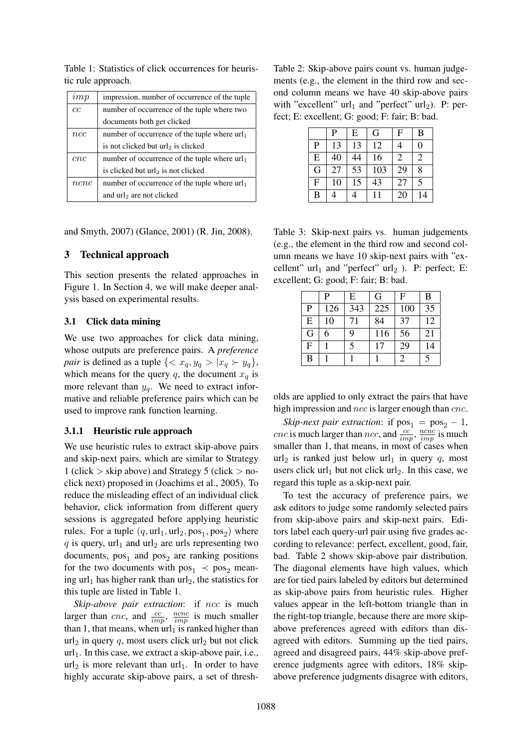Table 1: Statistics of click occurrences for heuristic rule approach.

| imp  | impression, number of occurrence of the tuple   |  |  |
|------|-------------------------------------------------|--|--|
| cc   | number of occurrence of the tuple where two     |  |  |
|      | documents both get clicked                      |  |  |
| ncc  | number of occurrence of the tuple where $url_1$ |  |  |
|      | is not clicked but url <sub>2</sub> is clicked  |  |  |
| cnc  | number of occurrence of the tuple where $url_1$ |  |  |
|      | is clicked but url <sub>2</sub> is not clicked  |  |  |
| ncnc | number of occurrence of the tuple where $url_1$ |  |  |
|      | and $url_2$ are not clicked                     |  |  |

and Smyth, 2007) (Glance, 2001) (R. Jin, 2008).

### 3 Technical approach

This section presents the related approaches in Figure 1. In Section 4, we will make deeper analysis based on experimental results.

#### 3.1 Click data mining

We use two approaches for click data mining, whose outputs are preference pairs. A *preference pair* is defined as a tuple  $\{ \langle x_q, y_q \rangle | x_q \rangle | y_q \}$ , which means for the query q, the document  $x_q$  is more relevant than  $y_a$ . We need to extract informative and reliable preference pairs which can be used to improve rank function learning.

#### 3.1.1 Heuristic rule approach

We use heuristic rules to extract skip-above pairs and skip-next pairs, which are similar to Strategy 1 (click  $>$  skip above) and Strategy 5 (click  $>$  noclick next) proposed in (Joachims et al., 2005). To reduce the misleading effect of an individual click behavior, click information from different query sessions is aggregated before applying heuristic rules. For a tuple  $(q, \text{url}_1, \text{url}_2, \text{pos}_1, \text{pos}_2)$  where q is query,  $url_1$  and  $url_2$  are urls representing two documents,  $pos_1$  and  $pos_2$  are ranking positions for the two documents with  $pos_1 \prec pos_2$  meaning url<sub>1</sub> has higher rank than url<sub>2</sub>, the statistics for this tuple are listed in Table 1.

*Skip-above pair extraction*: if *ncc* is much larger than *cnc*, and  $\frac{cc}{imp}$ ,  $\frac{ncnc}{imp}$  is much smaller than 1, that means, when  $url_1$  is ranked higher than  $url_2$  in query q, most users click url<sub>2</sub> but not click  $url_1$ . In this case, we extract a skip-above pair, i.e.,  $url_2$  is more relevant than  $url_1$ . In order to have highly accurate skip-above pairs, a set of thresh-

Table 2: Skip-above pairs count vs. human judgements (e.g., the element in the third row and second column means we have 40 skip-above pairs with "excellent"  $url_1$  and "perfect"  $url_2$ ). P: perfect; E: excellent; G: good; F: fair; B: bad.

|                | P  | E  | G   | F              | B              |
|----------------|----|----|-----|----------------|----------------|
| $\overline{P}$ | 13 | 13 | 12  | 4              | 0              |
| E              | 40 | 44 | 16  | $\overline{c}$ | $\overline{c}$ |
| G              | 27 | 53 | 103 | 29             | 8              |
| $\overline{F}$ | 10 | 15 | 43  | 27             | 5              |
| B              |    |    |     | 20             | 14             |

Table 3: Skip-next pairs vs. human judgements (e.g., the element in the third row and second column means we have 10 skip-next pairs with "excellent"  $url_1$  and "perfect"  $url_2$ ). P: perfect; E: excellent; G: good; F: fair; B: bad.

|              | P   | E   | G   | $\mathbf{F}$ | B  |
|--------------|-----|-----|-----|--------------|----|
| P            | 126 | 343 | 225 | 100          | 35 |
| E            | 10  | 71  | 84  | 37           | 12 |
| G            | 6   | 9   | 116 | 56           | 21 |
| $\mathbf{F}$ |     | 5   | 17  | 29           | 14 |
| B            |     |     |     | 2            | 5  |

olds are applied to only extract the pairs that have high impression and ncc is larger enough than cnc.

*Skip-next pair extraction*: if  $pos_1 = pos_2 - 1$ , *cnc* is much larger than *ncc*, and  $\frac{cc}{imp}$ ,  $\frac{ncnc}{imp}$  is much smaller than 1, that means, in most of cases when url<sub>2</sub> is ranked just below url<sub>1</sub> in query q, most users click  $url_1$  but not click  $url_2$ . In this case, we regard this tuple as a skip-next pair.

To test the accuracy of preference pairs, we ask editors to judge some randomly selected pairs from skip-above pairs and skip-next pairs. Editors label each query-url pair using five grades according to relevance: perfect, excellent, good, fair, bad. Table 2 shows skip-above pair distribution. The diagonal elements have high values, which are for tied pairs labeled by editors but determined as skip-above pairs from heuristic rules. Higher values appear in the left-bottom triangle than in the right-top triangle, because there are more skipabove preferences agreed with editors than disagreed with editors. Summing up the tied pairs, agreed and disagreed pairs, 44% skip-above preference judgments agree with editors, 18% skipabove preference judgments disagree with editors,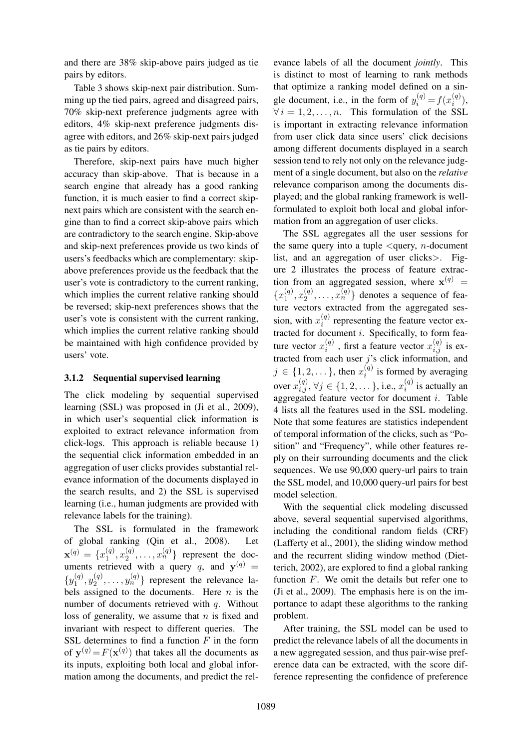and there are 38% skip-above pairs judged as tie pairs by editors.

Table 3 shows skip-next pair distribution. Summing up the tied pairs, agreed and disagreed pairs, 70% skip-next preference judgments agree with editors, 4% skip-next preference judgments disagree with editors, and 26% skip-next pairs judged as tie pairs by editors.

Therefore, skip-next pairs have much higher accuracy than skip-above. That is because in a search engine that already has a good ranking function, it is much easier to find a correct skipnext pairs which are consistent with the search engine than to find a correct skip-above pairs which are contradictory to the search engine. Skip-above and skip-next preferences provide us two kinds of users's feedbacks which are complementary: skipabove preferences provide us the feedback that the user's vote is contradictory to the current ranking, which implies the current relative ranking should be reversed; skip-next preferences shows that the user's vote is consistent with the current ranking, which implies the current relative ranking should be maintained with high confidence provided by users' vote.

## 3.1.2 Sequential supervised learning

The click modeling by sequential supervised learning (SSL) was proposed in (Ji et al., 2009), in which user's sequential click information is exploited to extract relevance information from click-logs. This approach is reliable because 1) the sequential click information embedded in an aggregation of user clicks provides substantial relevance information of the documents displayed in the search results, and 2) the SSL is supervised learning (i.e., human judgments are provided with relevance labels for the training).

The SSL is formulated in the framework of global ranking (Qin et al., 2008). Let  $\mathbf{x}^{(q)} = \{x_1^{(q)}\}$  $\binom{q}{1}, x_2^{(q)}$  $\{a_2^{(q)}, \ldots, x_n^{(q)}\}$  represent the documents retrieved with a query q, and  $y^{(q)} =$  $\{y_1^{(q)}\}$  $y_1^{(q)}, y_2^{(q)}$  $\{a_2^{(q)}, \ldots, y_n^{(q)}\}$  represent the relevance labels assigned to the documents. Here  $n$  is the number of documents retrieved with q. Without loss of generality, we assume that  $n$  is fixed and invariant with respect to different queries. The SSL determines to find a function  $F$  in the form of  $y^{(q)} = F(x^{(q)})$  that takes all the documents as its inputs, exploiting both local and global information among the documents, and predict the relevance labels of all the document *jointly*. This is distinct to most of learning to rank methods that optimize a ranking model defined on a single document, i.e., in the form of  $y_i^{(q)} = f(x_i^{(q)})$  $\binom{(q)}{i}$  $\forall i = 1, 2, \ldots, n$ . This formulation of the SSL is important in extracting relevance information from user click data since users' click decisions among different documents displayed in a search session tend to rely not only on the relevance judgment of a single document, but also on the *relative* relevance comparison among the documents displayed; and the global ranking framework is wellformulated to exploit both local and global information from an aggregation of user clicks.

The SSL aggregates all the user sessions for the same query into a tuple  $\leq$ query, *n*-document list, and an aggregation of user clicks>. Figure 2 illustrates the process of feature extraction from an aggregated session, where  $\mathbf{x}^{(q)}$  =  $\{x_1^{(q)}\}$  $\binom{q}{1}, x_2^{(q)}$  $\{a_2^{(q)}, \ldots, x_n^{(q)}\}$  denotes a sequence of feature vectors extracted from the aggregated session, with  $x_i^{(q)}$  $i^{(q)}$  representing the feature vector extracted for document i. Specifically, to form feature vector  $x_i^{(q)}$  $i^{(q)}$ , first a feature vector  $x_{i,j}^{(q)}$  is extracted from each user  $j$ 's click information, and  $j \in \{1, 2, \dots\}$ , then  $x_i^{(q)}$  $i^{(q)}$  is formed by averaging over  $x_{i,j}^{(q)}, \forall j \in \{1, 2, \dots\},$  i.e.,  $x_{i}^{(q)}$  $i^{(q)}$  is actually an aggregated feature vector for document *i*. Table 4 lists all the features used in the SSL modeling. Note that some features are statistics independent of temporal information of the clicks, such as "Position" and "Frequency", while other features reply on their surrounding documents and the click sequences. We use 90,000 query-url pairs to train the SSL model, and 10,000 query-url pairs for best model selection.

With the sequential click modeling discussed above, several sequential supervised algorithms, including the conditional random fields (CRF) (Lafferty et al., 2001), the sliding window method and the recurrent sliding window method (Dietterich, 2002), are explored to find a global ranking function  $F$ . We omit the details but refer one to (Ji et al., 2009). The emphasis here is on the importance to adapt these algorithms to the ranking problem.

After training, the SSL model can be used to predict the relevance labels of all the documents in a new aggregated session, and thus pair-wise preference data can be extracted, with the score difference representing the confidence of preference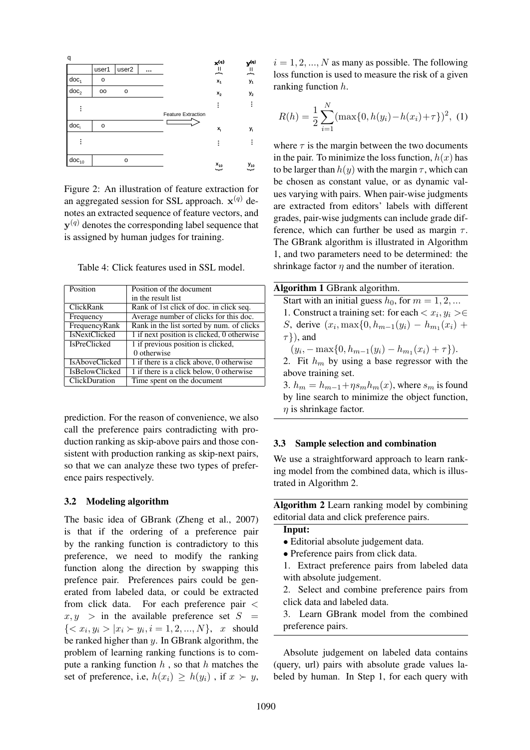

Figure 2: An illustration of feature extraction for an aggregated session for SSL approach.  $\mathbf{x}^{(q)}$  denotes an extracted sequence of feature vectors, and  $\mathbf{y}^{(q)}$  denotes the corresponding label sequence that is assigned by human judges for training.

Table 4: Click features used in SSL model.

| Position              | Position of the document                   |  |
|-----------------------|--------------------------------------------|--|
|                       | in the result list                         |  |
| ClickRank             | Rank of 1st click of doc. in click seq.    |  |
| Frequency             | Average number of clicks for this doc.     |  |
| FrequencyRank         | Rank in the list sorted by num. of clicks  |  |
| <b>IsNextClicked</b>  | 1 if next position is clicked, 0 otherwise |  |
| <b>IsPreClicked</b>   | 1 if previous position is clicked,         |  |
|                       | 0 otherwise                                |  |
| <b>IsAboveClicked</b> | 1 if there is a click above, 0 otherwise   |  |
| <b>IsBelowClicked</b> | 1 if there is a click below, 0 otherwise   |  |
| ClickDuration         | Time spent on the document                 |  |

prediction. For the reason of convenience, we also call the preference pairs contradicting with production ranking as skip-above pairs and those consistent with production ranking as skip-next pairs, so that we can analyze these two types of preference pairs respectively.

### 3.2 Modeling algorithm

The basic idea of GBrank (Zheng et al., 2007) is that if the ordering of a preference pair by the ranking function is contradictory to this preference, we need to modify the ranking function along the direction by swapping this prefence pair. Preferences pairs could be generated from labeled data, or could be extracted from click data. For each preference pair <  $x, y >$  in the available preference set  $S =$  ${ < x_i, y_i > |x_i \succ y_i, i = 1, 2, ..., N}, x \text{ should}$ be ranked higher than y. In GBrank algorithm, the problem of learning ranking functions is to compute a ranking function  $h$ , so that  $h$  matches the set of preference, i.e,  $h(x_i) \geq h(y_i)$ , if  $x \succ y$ ,

 $i = 1, 2, ..., N$  as many as possible. The following loss function is used to measure the risk of a given ranking function h.

$$
R(h) = \frac{1}{2} \sum_{i=1}^{N} (\max\{0, h(y_i) - h(x_i) + \tau\})^2, \tag{1}
$$

where  $\tau$  is the margin between the two documents in the pair. To minimize the loss function,  $h(x)$  has to be larger than  $h(y)$  with the margin  $\tau$ , which can be chosen as constant value, or as dynamic values varying with pairs. When pair-wise judgments are extracted from editors' labels with different grades, pair-wise judgments can include grade difference, which can further be used as margin  $\tau$ . The GBrank algorithm is illustrated in Algorithm 1, and two parameters need to be determined: the shrinkage factor  $\eta$  and the number of iteration.

| <b>Algorithm 1 GBrank algorithm.</b>                                 |
|----------------------------------------------------------------------|
| Start with an initial guess $h_0$ , for $m = 1, 2, $                 |
| 1. Construct a training set: for each $\langle x_i, y_i \rangle \in$ |
| <i>S</i> , derive $(x_i, \max\{0, h_{m-1}(y_i) - h_{m1}(x_i) + \})$  |
| $\tau$ }), and                                                       |
| $(y_i, -\max\{0, h_{m-1}(y_i) - h_{m_1}(x_i) + \tau\}).$             |
| 2. Fit $h_m$ by using a base regressor with the                      |
| above training set.                                                  |
| 3. $h_m = h_{m-1} + \eta s_m h_m(x)$ , where $s_m$ is found          |
| by line search to minimize the object function,                      |
| $\eta$ is shrinkage factor.                                          |

### 3.3 Sample selection and combination

We use a straightforward approach to learn ranking model from the combined data, which is illustrated in Algorithm 2.

Algorithm 2 Learn ranking model by combining editorial data and click preference pairs.

# Input:

- Editorial absolute judgement data.
- Preference pairs from click data.
- 1. Extract preference pairs from labeled data with absolute judgement.
- 2. Select and combine preference pairs from click data and labeled data.
- 3. Learn GBrank model from the combined preference pairs.

Absolute judgement on labeled data contains (query, url) pairs with absolute grade values labeled by human. In Step 1, for each query with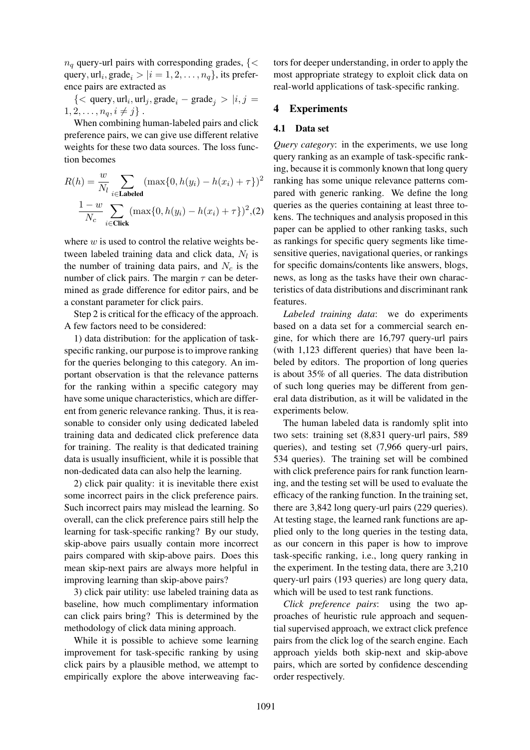$n_q$  query-url pairs with corresponding grades, { $\lt$ query,  $url_i$ , grade $_i > |i = 1, 2, \ldots, n_q\}$ , its preference pairs are extracted as

 $\{<\text{query}, \text{url}_i, \text{url}_j, \text{grade}_i - \text{grade}_j > |i, j = \}$  $1, 2, \ldots, n_q, i \neq j$ .

When combining human-labeled pairs and click preference pairs, we can give use different relative weights for these two data sources. The loss function becomes

$$
R(h) = \frac{w}{N_l} \sum_{i \in \text{Labeled}} (\max\{0, h(y_i) - h(x_i) + \tau\})^2
$$

$$
\frac{1 - w}{N_c} \sum_{i \in \text{Click}} (\max\{0, h(y_i) - h(x_i) + \tau\})^2, (2)
$$

where  $w$  is used to control the relative weights between labeled training data and click data,  $N_l$  is the number of training data pairs, and  $N_c$  is the number of click pairs. The margin  $\tau$  can be determined as grade difference for editor pairs, and be a constant parameter for click pairs.

Step 2 is critical for the efficacy of the approach. A few factors need to be considered:

1) data distribution: for the application of taskspecific ranking, our purpose is to improve ranking for the queries belonging to this category. An important observation is that the relevance patterns for the ranking within a specific category may have some unique characteristics, which are different from generic relevance ranking. Thus, it is reasonable to consider only using dedicated labeled training data and dedicated click preference data for training. The reality is that dedicated training data is usually insufficient, while it is possible that non-dedicated data can also help the learning.

2) click pair quality: it is inevitable there exist some incorrect pairs in the click preference pairs. Such incorrect pairs may mislead the learning. So overall, can the click preference pairs still help the learning for task-specific ranking? By our study, skip-above pairs usually contain more incorrect pairs compared with skip-above pairs. Does this mean skip-next pairs are always more helpful in improving learning than skip-above pairs?

3) click pair utility: use labeled training data as baseline, how much complimentary information can click pairs bring? This is determined by the methodology of click data mining approach.

While it is possible to achieve some learning improvement for task-specific ranking by using click pairs by a plausible method, we attempt to empirically explore the above interweaving factors for deeper understanding, in order to apply the most appropriate strategy to exploit click data on real-world applications of task-specific ranking.

### 4 Experiments

#### 4.1 Data set

*Query category*: in the experiments, we use long query ranking as an example of task-specific ranking, because it is commonly known that long query ranking has some unique relevance patterns compared with generic ranking. We define the long queries as the queries containing at least three tokens. The techniques and analysis proposed in this paper can be applied to other ranking tasks, such as rankings for specific query segments like timesensitive queries, navigational queries, or rankings for specific domains/contents like answers, blogs, news, as long as the tasks have their own characteristics of data distributions and discriminant rank features.

*Labeled training data*: we do experiments based on a data set for a commercial search engine, for which there are 16,797 query-url pairs (with 1,123 different queries) that have been labeled by editors. The proportion of long queries is about 35% of all queries. The data distribution of such long queries may be different from general data distribution, as it will be validated in the experiments below.

The human labeled data is randomly split into two sets: training set (8,831 query-url pairs, 589 queries), and testing set (7,966 query-url pairs, 534 queries). The training set will be combined with click preference pairs for rank function learning, and the testing set will be used to evaluate the efficacy of the ranking function. In the training set, there are 3,842 long query-url pairs (229 queries). At testing stage, the learned rank functions are applied only to the long queries in the testing data, as our concern in this paper is how to improve task-specific ranking, i.e., long query ranking in the experiment. In the testing data, there are 3,210 query-url pairs (193 queries) are long query data, which will be used to test rank functions.

*Click preference pairs*: using the two approaches of heuristic rule approach and sequential supervised approach, we extract click prefence pairs from the click log of the search engine. Each approach yields both skip-next and skip-above pairs, which are sorted by confidence descending order respectively.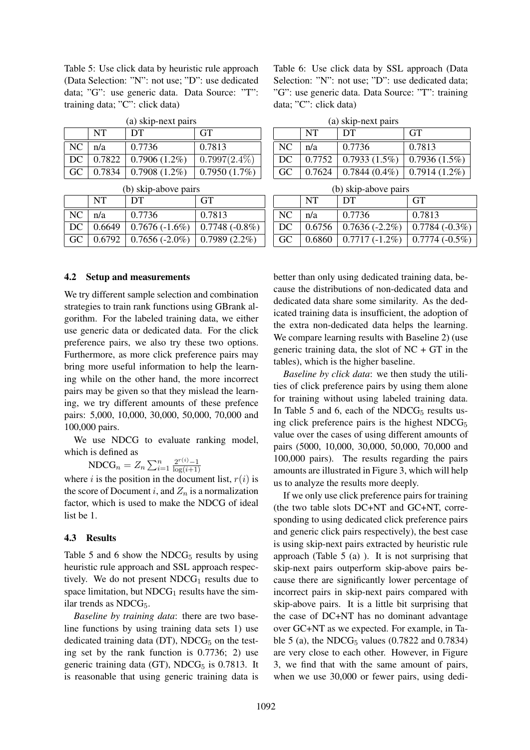Table 5: Use click data by heuristic rule approach (Data Selection: "N": not use; "D": use dedicated data; "G": use generic data. Data Source: "T": training data; "C": click data)

|      | <b>NT</b> | $\mathbf{w}$ , sinp none pairs<br>DT | <b>GT</b>       |
|------|-----------|--------------------------------------|-----------------|
| NC   | $\ln/a$   | 0.7736                               | 0.7813          |
| DC - |           | $\vert 0.7822 \vert 0.7906$ (1.2%)   | $0.7997(2.4\%)$ |
| GC.  |           | $0.7834 \mid 0.7908 \ (1.2\%)$       | 0.7950(1.7%)    |

(a) skip-next pairs

|  | (b) skip-above pairs |  |
|--|----------------------|--|

|               | NT | DT                                               | <b>GT</b>              |
|---------------|----|--------------------------------------------------|------------------------|
| $NC \mid n/a$ |    | 0.7736                                           | 0.7813                 |
|               |    | $DC   0.6649   0.7676 (-1.6%)$                   | $\vert 0.7748(-0.8\%)$ |
|               |    | GC   $0.6792$   $0.7656$ (-2.0%)   0.7989 (2.2%) |                        |

(b) skip-above pairs

### 4.2 Setup and measurements

We try different sample selection and combination strategies to train rank functions using GBrank algorithm. For the labeled training data, we either use generic data or dedicated data. For the click preference pairs, we also try these two options. Furthermore, as more click preference pairs may bring more useful information to help the learning while on the other hand, the more incorrect pairs may be given so that they mislead the learning, we try different amounts of these prefence pairs: 5,000, 10,000, 30,000, 50,000, 70,000 and 100,000 pairs.

We use NDCG to evaluate ranking model, which is defined as

$$
\text{NDCG}_n = Z_n \sum_{i=1}^n \frac{2^{r(i)} - 1}{\log(i+1)}
$$

where i is the position in the document list,  $r(i)$  is the score of Document i, and  $Z_n$  is a normalization factor, which is used to make the NDCG of ideal list be 1.

### 4.3 Results

Table 5 and 6 show the  $NDCG<sub>5</sub>$  results by using heuristic rule approach and SSL approach respectively. We do not present  $NDCG_1$  results due to space limitation, but  $NDCG<sub>1</sub>$  results have the similar trends as  $NDCG<sub>5</sub>$ .

*Baseline by training data*: there are two baseline functions by using training data sets 1) use dedicated training data (DT),  $NDCG<sub>5</sub>$  on the testing set by the rank function is 0.7736; 2) use generic training data (GT),  $NDCG<sub>5</sub>$  is 0.7813. It is reasonable that using generic training data is Table 6: Use click data by SSL approach (Data Selection: "N": not use; "D": use dedicated data; "G": use generic data. Data Source: "T": training data; "C": click data)

| (a) skip-next pairs |  |
|---------------------|--|
|                     |  |

|     | <b>NT</b> | DT                                             | <b>GT</b>                                           |
|-----|-----------|------------------------------------------------|-----------------------------------------------------|
| NC. | n/a       | 0.7736                                         | 0.7813                                              |
| DC. |           | $0.7752 \mid 0.7933(1.5\%) \mid 0.7936(1.5\%)$ |                                                     |
| GC  |           |                                                | $0.7624 \mid 0.7844(0.4\%) \mid 0.7914(1.2\%) \mid$ |

(b) skip-above pairs

|    | <b>NT</b> | DT                                           | <b>GT</b>               |
|----|-----------|----------------------------------------------|-------------------------|
| NC | n/a       | 0.7736                                       | 0.7813                  |
| DC |           | $0.6756 \pm 0.7636$ (-2.2%)                  | $\vert 0.7784 (-0.3\%)$ |
| GC |           | $0.6860$   $0.7717$ (-1.2%)   0.7774 (-0.5%) |                         |

better than only using dedicated training data, because the distributions of non-dedicated data and dedicated data share some similarity. As the dedicated training data is insufficient, the adoption of the extra non-dedicated data helps the learning. We compare learning results with Baseline 2) (use generic training data, the slot of  $NC + GT$  in the tables), which is the higher baseline.

*Baseline by click data*: we then study the utilities of click preference pairs by using them alone for training without using labeled training data. In Table 5 and 6, each of the  $NDCG<sub>5</sub>$  results using click preference pairs is the highest  $NDCG<sub>5</sub>$ value over the cases of using different amounts of pairs (5000, 10,000, 30,000, 50,000, 70,000 and 100,000 pairs). The results regarding the pairs amounts are illustrated in Figure 3, which will help us to analyze the results more deeply.

If we only use click preference pairs for training (the two table slots DC+NT and GC+NT, corresponding to using dedicated click preference pairs and generic click pairs respectively), the best case is using skip-next pairs extracted by heuristic rule approach (Table  $5$  (a)). It is not surprising that skip-next pairs outperform skip-above pairs because there are significantly lower percentage of incorrect pairs in skip-next pairs compared with skip-above pairs. It is a little bit surprising that the case of DC+NT has no dominant advantage over GC+NT as we expected. For example, in Table 5 (a), the NDCG<sub>5</sub> values  $(0.7822 \text{ and } 0.7834)$ are very close to each other. However, in Figure 3, we find that with the same amount of pairs, when we use 30,000 or fewer pairs, using dedi-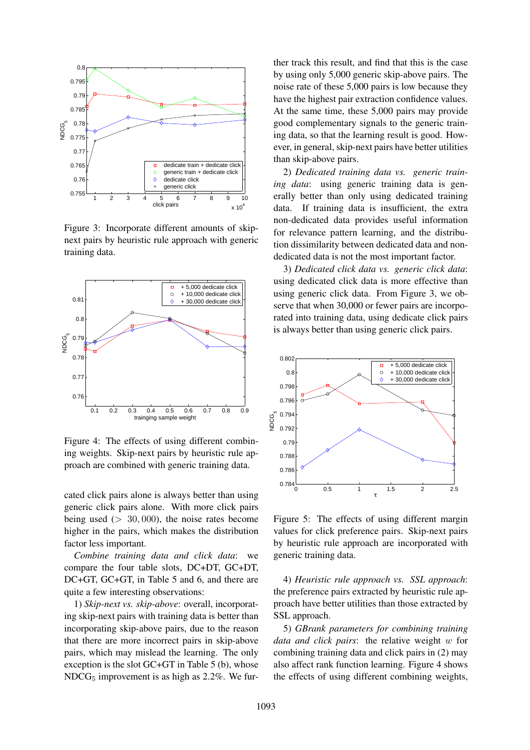

Figure 3: Incorporate different amounts of skipnext pairs by heuristic rule approach with generic training data.



Figure 4: The effects of using different combining weights. Skip-next pairs by heuristic rule approach are combined with generic training data.

cated click pairs alone is always better than using generic click pairs alone. With more click pairs being used  $(> 30,000)$ , the noise rates become higher in the pairs, which makes the distribution factor less important.

*Combine training data and click data*: we compare the four table slots, DC+DT, GC+DT, DC+GT, GC+GT, in Table 5 and 6, and there are quite a few interesting observations:

1) *Skip-next vs. skip-above*: overall, incorporating skip-next pairs with training data is better than incorporating skip-above pairs, due to the reason that there are more incorrect pairs in skip-above pairs, which may mislead the learning. The only exception is the slot GC+GT in Table 5 (b), whose  $NDCG<sub>5</sub>$  improvement is as high as 2.2%. We further track this result, and find that this is the case by using only 5,000 generic skip-above pairs. The noise rate of these 5,000 pairs is low because they have the highest pair extraction confidence values. At the same time, these 5,000 pairs may provide good complementary signals to the generic training data, so that the learning result is good. However, in general, skip-next pairs have better utilities than skip-above pairs.

2) *Dedicated training data vs. generic training data*: using generic training data is generally better than only using dedicated training data. If training data is insufficient, the extra non-dedicated data provides useful information for relevance pattern learning, and the distribution dissimilarity between dedicated data and nondedicated data is not the most important factor.

3) *Dedicated click data vs. generic click data*: using dedicated click data is more effective than using generic click data. From Figure 3, we observe that when 30,000 or fewer pairs are incorporated into training data, using dedicate click pairs is always better than using generic click pairs.



Figure 5: The effects of using different margin values for click preference pairs. Skip-next pairs by heuristic rule approach are incorporated with generic training data.

4) *Heuristic rule approach vs. SSL approach*: the preference pairs extracted by heuristic rule approach have better utilities than those extracted by SSL approach.

5) *GBrank parameters for combining training data and click pairs*: the relative weight w for combining training data and click pairs in (2) may also affect rank function learning. Figure 4 shows the effects of using different combining weights,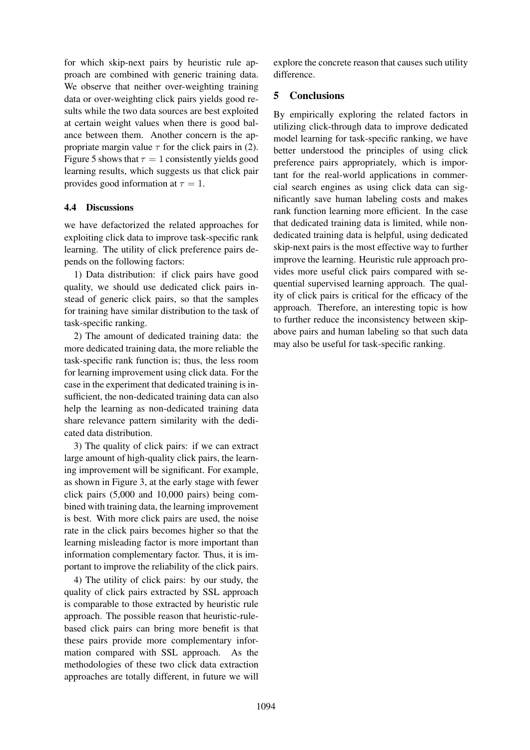for which skip-next pairs by heuristic rule approach are combined with generic training data. We observe that neither over-weighting training data or over-weighting click pairs yields good results while the two data sources are best exploited at certain weight values when there is good balance between them. Another concern is the appropriate margin value  $\tau$  for the click pairs in (2). Figure 5 shows that  $\tau = 1$  consistently yields good learning results, which suggests us that click pair provides good information at  $\tau = 1$ .

## 4.4 Discussions

we have defactorized the related approaches for exploiting click data to improve task-specific rank learning. The utility of click preference pairs depends on the following factors:

1) Data distribution: if click pairs have good quality, we should use dedicated click pairs instead of generic click pairs, so that the samples for training have similar distribution to the task of task-specific ranking.

2) The amount of dedicated training data: the more dedicated training data, the more reliable the task-specific rank function is; thus, the less room for learning improvement using click data. For the case in the experiment that dedicated training is insufficient, the non-dedicated training data can also help the learning as non-dedicated training data share relevance pattern similarity with the dedicated data distribution.

3) The quality of click pairs: if we can extract large amount of high-quality click pairs, the learning improvement will be significant. For example, as shown in Figure 3, at the early stage with fewer click pairs (5,000 and 10,000 pairs) being combined with training data, the learning improvement is best. With more click pairs are used, the noise rate in the click pairs becomes higher so that the learning misleading factor is more important than information complementary factor. Thus, it is important to improve the reliability of the click pairs.

4) The utility of click pairs: by our study, the quality of click pairs extracted by SSL approach is comparable to those extracted by heuristic rule approach. The possible reason that heuristic-rulebased click pairs can bring more benefit is that these pairs provide more complementary information compared with SSL approach. As the methodologies of these two click data extraction approaches are totally different, in future we will explore the concrete reason that causes such utility difference.

# 5 Conclusions

By empirically exploring the related factors in utilizing click-through data to improve dedicated model learning for task-specific ranking, we have better understood the principles of using click preference pairs appropriately, which is important for the real-world applications in commercial search engines as using click data can significantly save human labeling costs and makes rank function learning more efficient. In the case that dedicated training data is limited, while nondedicated training data is helpful, using dedicated skip-next pairs is the most effective way to further improve the learning. Heuristic rule approach provides more useful click pairs compared with sequential supervised learning approach. The quality of click pairs is critical for the efficacy of the approach. Therefore, an interesting topic is how to further reduce the inconsistency between skipabove pairs and human labeling so that such data may also be useful for task-specific ranking.